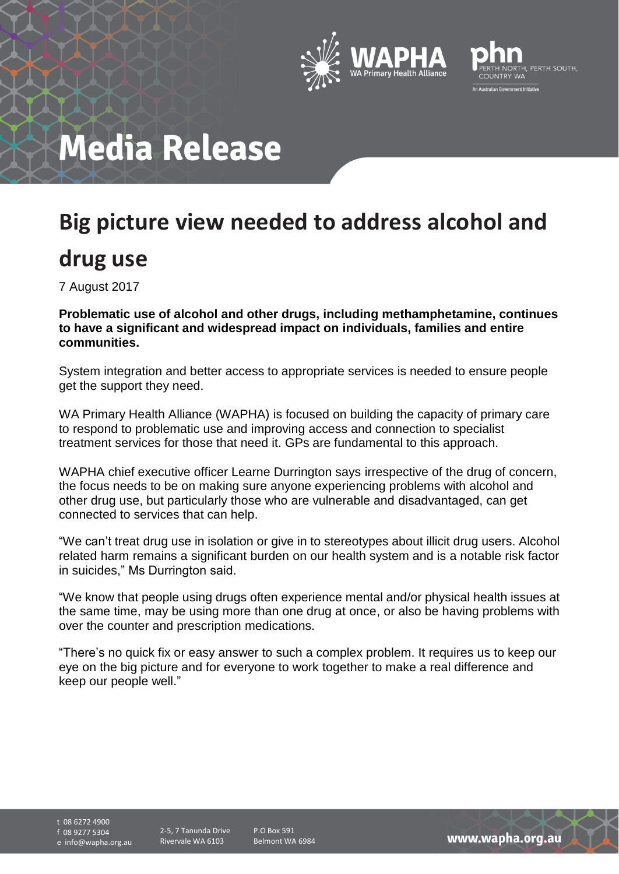



# **Media Release**

## **Big picture view needed to address alcohol and**

### **drug use**

7 August 2017

**Problematic use of alcohol and other drugs, including methamphetamine, continues to have a significant and widespread impact on individuals, families and entire communities.**

System integration and better access to appropriate services is needed to ensure people get the support they need.

WA Primary Health Alliance (WAPHA) is focused on building the capacity of primary care to respond to problematic use and improving access and connection to specialist treatment services for those that need it. GPs are fundamental to this approach.

WAPHA chief executive officer Learne Durrington says irrespective of the drug of concern, the focus needs to be on making sure anyone experiencing problems with alcohol and other drug use, but particularly those who are vulnerable and disadvantaged, can get connected to services that can help.

"We can't treat drug use in isolation or give in to stereotypes about illicit drug users. Alcohol related harm remains a significant burden on our health system and is a notable risk factor in suicides," Ms Durrington said.

"We know that people using drugs often experience mental and/or physical health issues at the same time, may be using more than one drug at once, or also be having problems with over the counter and prescription medications.

"There's no quick fix or easy answer to such a complex problem. It requires us to keep our eye on the big picture and for everyone to work together to make a real difference and keep our people well."

t 08 6272 4900 f 08 9277 5304 e info@wapha.org.au

2-5, 7 Tanunda Drive Rivervale WA 6103

P.O Box 591 Belmont WA 6984

www.wapha.org.au